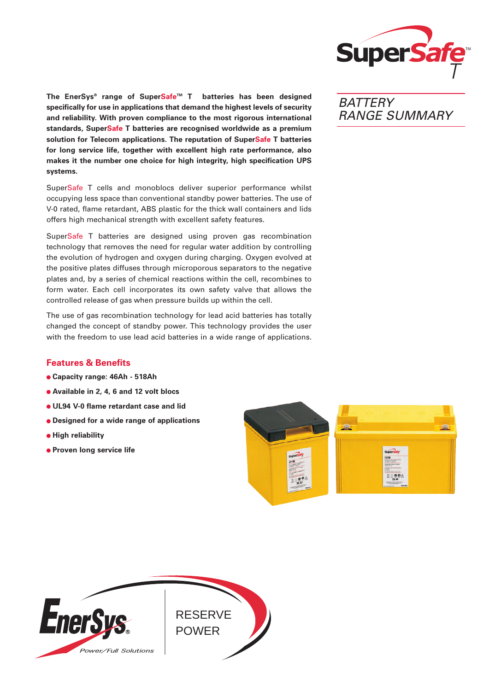

**The EnerSys® range of SuperSafeTM T batteries has been designed specifically for use in applications that demand the highest levels of security and reliability. With proven compliance to the most rigorous international standards, SuperSafe T batteries are recognised worldwide as a premium solution for Telecom applications. The reputation of SuperSafe T batteries for long service life, together with excellent high rate performance, also makes it the number one choice for high integrity, high specification UPS systems.**

SuperSafe T cells and monoblocs deliver superior performance whilst occupying less space than conventional standby power batteries. The use of V-0 rated, flame retardant, ABS plastic for the thick wall containers and lids offers high mechanical strength with excellent safety features.

SuperSafe T batteries are designed using proven gas recombination technology that removes the need for regular water addition by controlling the evolution of hydrogen and oxygen during charging. Oxygen evolved at the positive plates diffuses through microporous separators to the negative plates and, by a series of chemical reactions within the cell, recombines to form water. Each cell incorporates its own safety valve that allows the controlled release of gas when pressure builds up within the cell.

The use of gas recombination technology for lead acid batteries has totally changed the concept of standby power. This technology provides the user with the freedom to use lead acid batteries in a wide range of applications.

## **Features & Benefits**

- **Capacity range: 46Ah 518Ah**
- **Available in 2, 4, 6 and 12 volt blocs**
- **UL94 V-0 flame retardant case and lid**
- **Designed for a wide range of applications**
- **High reliability**
- **Proven long service life**





# **BATTERY** RANGE SUMMARY